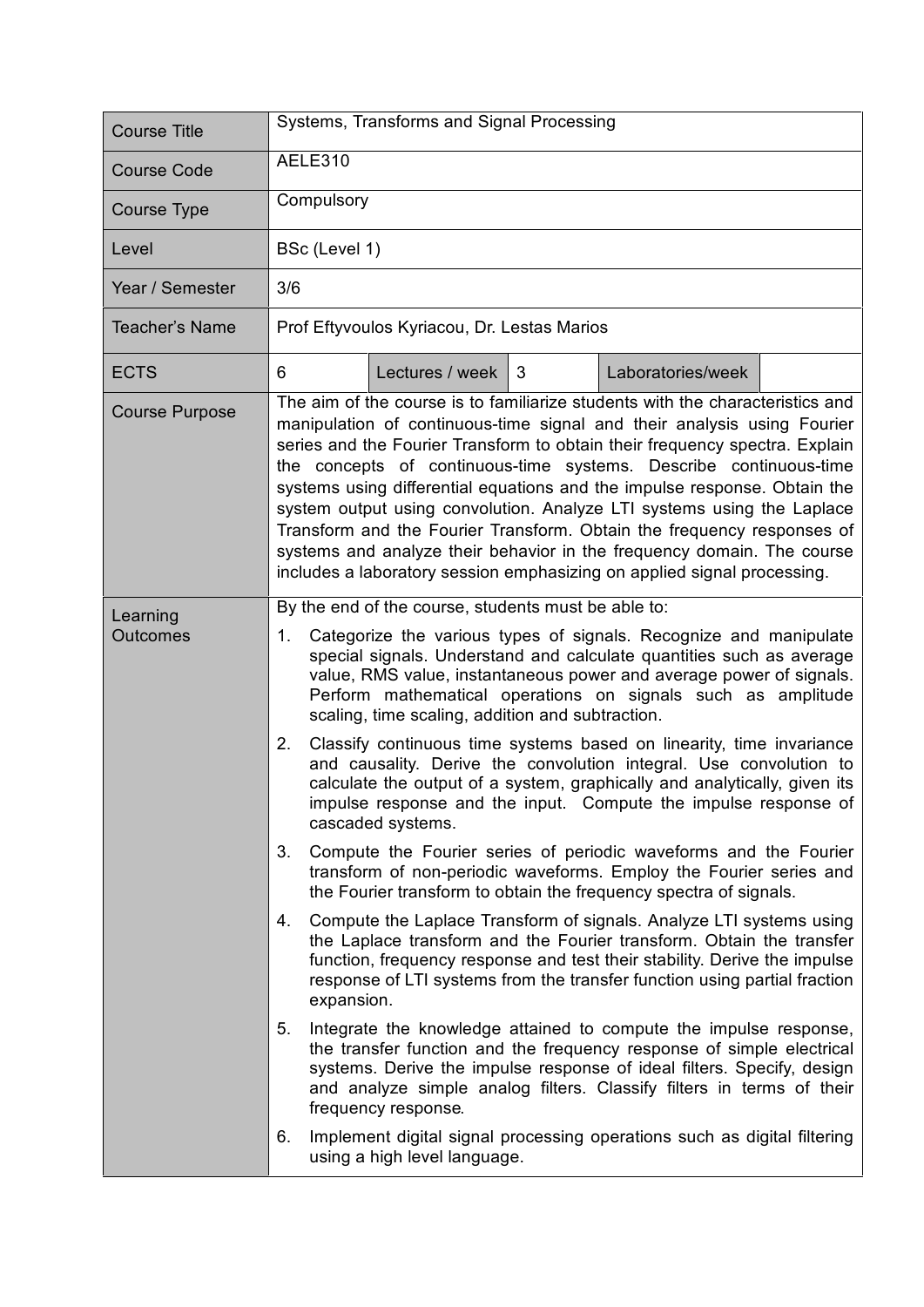| <b>Course Title</b>         | Systems, Transforms and Signal Processing                                                                                                                                                                                                                                                                                                                                                                                                                                                                                                                                                                                                                                                             |  |  |  |
|-----------------------------|-------------------------------------------------------------------------------------------------------------------------------------------------------------------------------------------------------------------------------------------------------------------------------------------------------------------------------------------------------------------------------------------------------------------------------------------------------------------------------------------------------------------------------------------------------------------------------------------------------------------------------------------------------------------------------------------------------|--|--|--|
| <b>Course Code</b>          | AELE310                                                                                                                                                                                                                                                                                                                                                                                                                                                                                                                                                                                                                                                                                               |  |  |  |
| Course Type                 | Compulsory                                                                                                                                                                                                                                                                                                                                                                                                                                                                                                                                                                                                                                                                                            |  |  |  |
| Level                       | BSc (Level 1)                                                                                                                                                                                                                                                                                                                                                                                                                                                                                                                                                                                                                                                                                         |  |  |  |
| Year / Semester             | 3/6                                                                                                                                                                                                                                                                                                                                                                                                                                                                                                                                                                                                                                                                                                   |  |  |  |
| <b>Teacher's Name</b>       | Prof Eftyvoulos Kyriacou, Dr. Lestas Marios                                                                                                                                                                                                                                                                                                                                                                                                                                                                                                                                                                                                                                                           |  |  |  |
| <b>ECTS</b>                 | Lectures / week<br>Laboratories/week<br>6<br>3                                                                                                                                                                                                                                                                                                                                                                                                                                                                                                                                                                                                                                                        |  |  |  |
| <b>Course Purpose</b>       | The aim of the course is to familiarize students with the characteristics and<br>manipulation of continuous-time signal and their analysis using Fourier<br>series and the Fourier Transform to obtain their frequency spectra. Explain<br>the concepts of continuous-time systems. Describe continuous-time<br>systems using differential equations and the impulse response. Obtain the<br>system output using convolution. Analyze LTI systems using the Laplace<br>Transform and the Fourier Transform. Obtain the frequency responses of<br>systems and analyze their behavior in the frequency domain. The course<br>includes a laboratory session emphasizing on applied signal processing.    |  |  |  |
| Learning<br><b>Outcomes</b> | By the end of the course, students must be able to:<br>Categorize the various types of signals. Recognize and manipulate<br>1.<br>special signals. Understand and calculate quantities such as average<br>value, RMS value, instantaneous power and average power of signals.<br>Perform mathematical operations on signals such as amplitude<br>scaling, time scaling, addition and subtraction.<br>Classify continuous time systems based on linearity, time invariance<br>2.<br>and causality. Derive the convolution integral. Use convolution to<br>calculate the output of a system, graphically and analytically, given its<br>impulse response and the input. Compute the impulse response of |  |  |  |
|                             | cascaded systems.<br>3.<br>Compute the Fourier series of periodic waveforms and the Fourier<br>transform of non-periodic waveforms. Employ the Fourier series and<br>the Fourier transform to obtain the frequency spectra of signals.                                                                                                                                                                                                                                                                                                                                                                                                                                                                |  |  |  |
|                             | Compute the Laplace Transform of signals. Analyze LTI systems using<br>4.<br>the Laplace transform and the Fourier transform. Obtain the transfer<br>function, frequency response and test their stability. Derive the impulse<br>response of LTI systems from the transfer function using partial fraction<br>expansion.                                                                                                                                                                                                                                                                                                                                                                             |  |  |  |
|                             | 5.<br>Integrate the knowledge attained to compute the impulse response,<br>the transfer function and the frequency response of simple electrical<br>systems. Derive the impulse response of ideal filters. Specify, design<br>and analyze simple analog filters. Classify filters in terms of their<br>frequency response.                                                                                                                                                                                                                                                                                                                                                                            |  |  |  |
|                             | Implement digital signal processing operations such as digital filtering<br>6.<br>using a high level language.                                                                                                                                                                                                                                                                                                                                                                                                                                                                                                                                                                                        |  |  |  |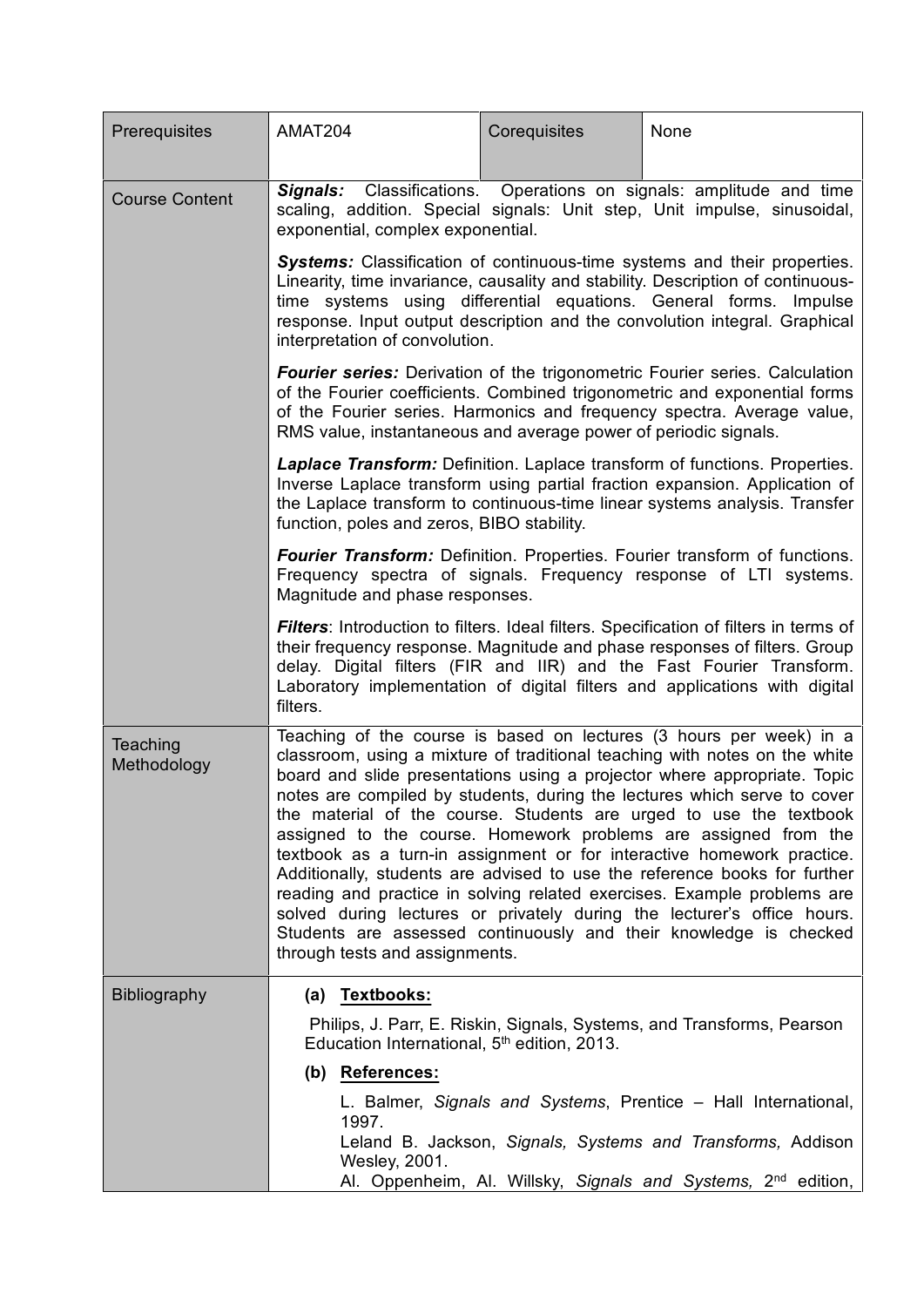| AMAT204                                                                                                                                                                                                                                                                                                                                                                                                                                                                                                                                                                                                                                                                                                                                                                                                                                                                | Corequisites | None                                                                                                                                                                                                                                                                                                                                                                                                                                                                                                                                                                                                                                                                                                                  |  |
|------------------------------------------------------------------------------------------------------------------------------------------------------------------------------------------------------------------------------------------------------------------------------------------------------------------------------------------------------------------------------------------------------------------------------------------------------------------------------------------------------------------------------------------------------------------------------------------------------------------------------------------------------------------------------------------------------------------------------------------------------------------------------------------------------------------------------------------------------------------------|--------------|-----------------------------------------------------------------------------------------------------------------------------------------------------------------------------------------------------------------------------------------------------------------------------------------------------------------------------------------------------------------------------------------------------------------------------------------------------------------------------------------------------------------------------------------------------------------------------------------------------------------------------------------------------------------------------------------------------------------------|--|
| Signals:                                                                                                                                                                                                                                                                                                                                                                                                                                                                                                                                                                                                                                                                                                                                                                                                                                                               |              |                                                                                                                                                                                                                                                                                                                                                                                                                                                                                                                                                                                                                                                                                                                       |  |
| Systems: Classification of continuous-time systems and their properties.<br>Linearity, time invariance, causality and stability. Description of continuous-<br>time systems using differential equations. General forms.<br>Impulse<br>response. Input output description and the convolution integral. Graphical<br>interpretation of convolution.                                                                                                                                                                                                                                                                                                                                                                                                                                                                                                                    |              |                                                                                                                                                                                                                                                                                                                                                                                                                                                                                                                                                                                                                                                                                                                       |  |
| <b>Fourier series:</b> Derivation of the trigonometric Fourier series. Calculation<br>of the Fourier coefficients. Combined trigonometric and exponential forms<br>of the Fourier series. Harmonics and frequency spectra. Average value,<br>RMS value, instantaneous and average power of periodic signals.                                                                                                                                                                                                                                                                                                                                                                                                                                                                                                                                                           |              |                                                                                                                                                                                                                                                                                                                                                                                                                                                                                                                                                                                                                                                                                                                       |  |
| Laplace Transform: Definition. Laplace transform of functions. Properties.<br>Inverse Laplace transform using partial fraction expansion. Application of<br>the Laplace transform to continuous-time linear systems analysis. Transfer<br>function, poles and zeros, BIBO stability.                                                                                                                                                                                                                                                                                                                                                                                                                                                                                                                                                                                   |              |                                                                                                                                                                                                                                                                                                                                                                                                                                                                                                                                                                                                                                                                                                                       |  |
| <b>Fourier Transform:</b> Definition. Properties. Fourier transform of functions.<br>Frequency spectra of signals. Frequency response of LTI systems.<br>Magnitude and phase responses.                                                                                                                                                                                                                                                                                                                                                                                                                                                                                                                                                                                                                                                                                |              |                                                                                                                                                                                                                                                                                                                                                                                                                                                                                                                                                                                                                                                                                                                       |  |
| filters.                                                                                                                                                                                                                                                                                                                                                                                                                                                                                                                                                                                                                                                                                                                                                                                                                                                               |              |                                                                                                                                                                                                                                                                                                                                                                                                                                                                                                                                                                                                                                                                                                                       |  |
| Teaching of the course is based on lectures (3 hours per week) in a<br>classroom, using a mixture of traditional teaching with notes on the white<br>board and slide presentations using a projector where appropriate. Topic<br>notes are compiled by students, during the lectures which serve to cover<br>the material of the course. Students are urged to use the textbook<br>assigned to the course. Homework problems are assigned from the<br>textbook as a turn-in assignment or for interactive homework practice.<br>Additionally, students are advised to use the reference books for further<br>reading and practice in solving related exercises. Example problems are<br>solved during lectures or privately during the lecturer's office hours.<br>Students are assessed continuously and their knowledge is checked<br>through tests and assignments. |              |                                                                                                                                                                                                                                                                                                                                                                                                                                                                                                                                                                                                                                                                                                                       |  |
| (a) Textbooks:                                                                                                                                                                                                                                                                                                                                                                                                                                                                                                                                                                                                                                                                                                                                                                                                                                                         |              |                                                                                                                                                                                                                                                                                                                                                                                                                                                                                                                                                                                                                                                                                                                       |  |
| Philips, J. Parr, E. Riskin, Signals, Systems, and Transforms, Pearson<br>Education International, 5 <sup>th</sup> edition, 2013.                                                                                                                                                                                                                                                                                                                                                                                                                                                                                                                                                                                                                                                                                                                                      |              |                                                                                                                                                                                                                                                                                                                                                                                                                                                                                                                                                                                                                                                                                                                       |  |
| (b) References:                                                                                                                                                                                                                                                                                                                                                                                                                                                                                                                                                                                                                                                                                                                                                                                                                                                        |              |                                                                                                                                                                                                                                                                                                                                                                                                                                                                                                                                                                                                                                                                                                                       |  |
| 1997.                                                                                                                                                                                                                                                                                                                                                                                                                                                                                                                                                                                                                                                                                                                                                                                                                                                                  |              |                                                                                                                                                                                                                                                                                                                                                                                                                                                                                                                                                                                                                                                                                                                       |  |
| Wesley, 2001.                                                                                                                                                                                                                                                                                                                                                                                                                                                                                                                                                                                                                                                                                                                                                                                                                                                          |              |                                                                                                                                                                                                                                                                                                                                                                                                                                                                                                                                                                                                                                                                                                                       |  |
|                                                                                                                                                                                                                                                                                                                                                                                                                                                                                                                                                                                                                                                                                                                                                                                                                                                                        |              | Classifications. Operations on signals: amplitude and time<br>scaling, addition. Special signals: Unit step, Unit impulse, sinusoidal,<br>exponential, complex exponential.<br>Filters: Introduction to filters. Ideal filters. Specification of filters in terms of<br>their frequency response. Magnitude and phase responses of filters. Group<br>delay. Digital filters (FIR and IIR) and the Fast Fourier Transform.<br>Laboratory implementation of digital filters and applications with digital<br>L. Balmer, Signals and Systems, Prentice - Hall International,<br>Leland B. Jackson, Signals, Systems and Transforms, Addison<br>Al. Oppenheim, Al. Willsky, Signals and Systems, 2 <sup>nd</sup> edition, |  |